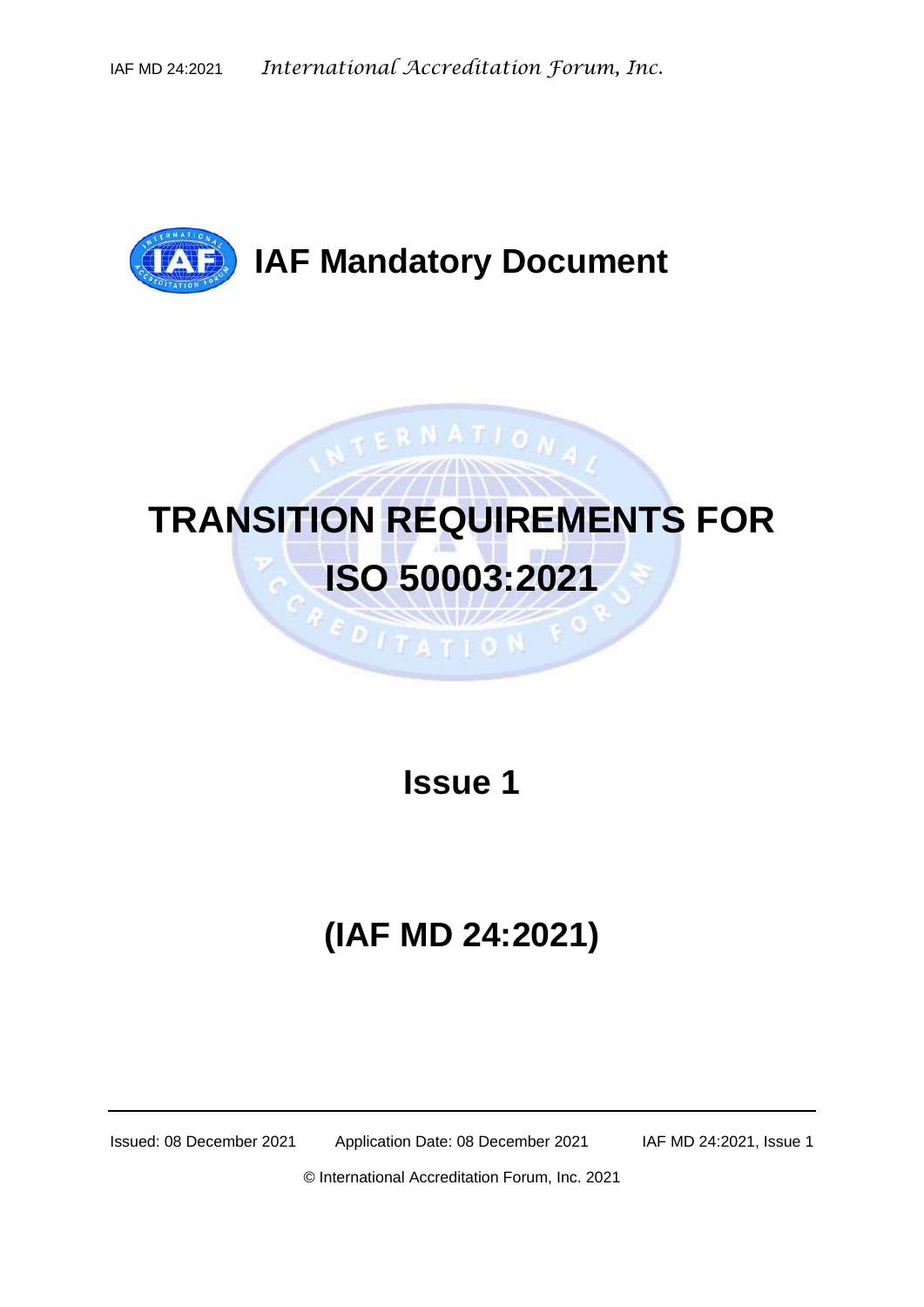

# **TRANSITION REQUIREMENTS FOR ISO 50003:2021**

**EDITATION** 

NTERNATIONA,

**Issue 1**

## **(IAF MD 24:2021)**

Issued: 08 December 2021 Application Date: 08 December 2021 IAF MD 24:2021, Issue 1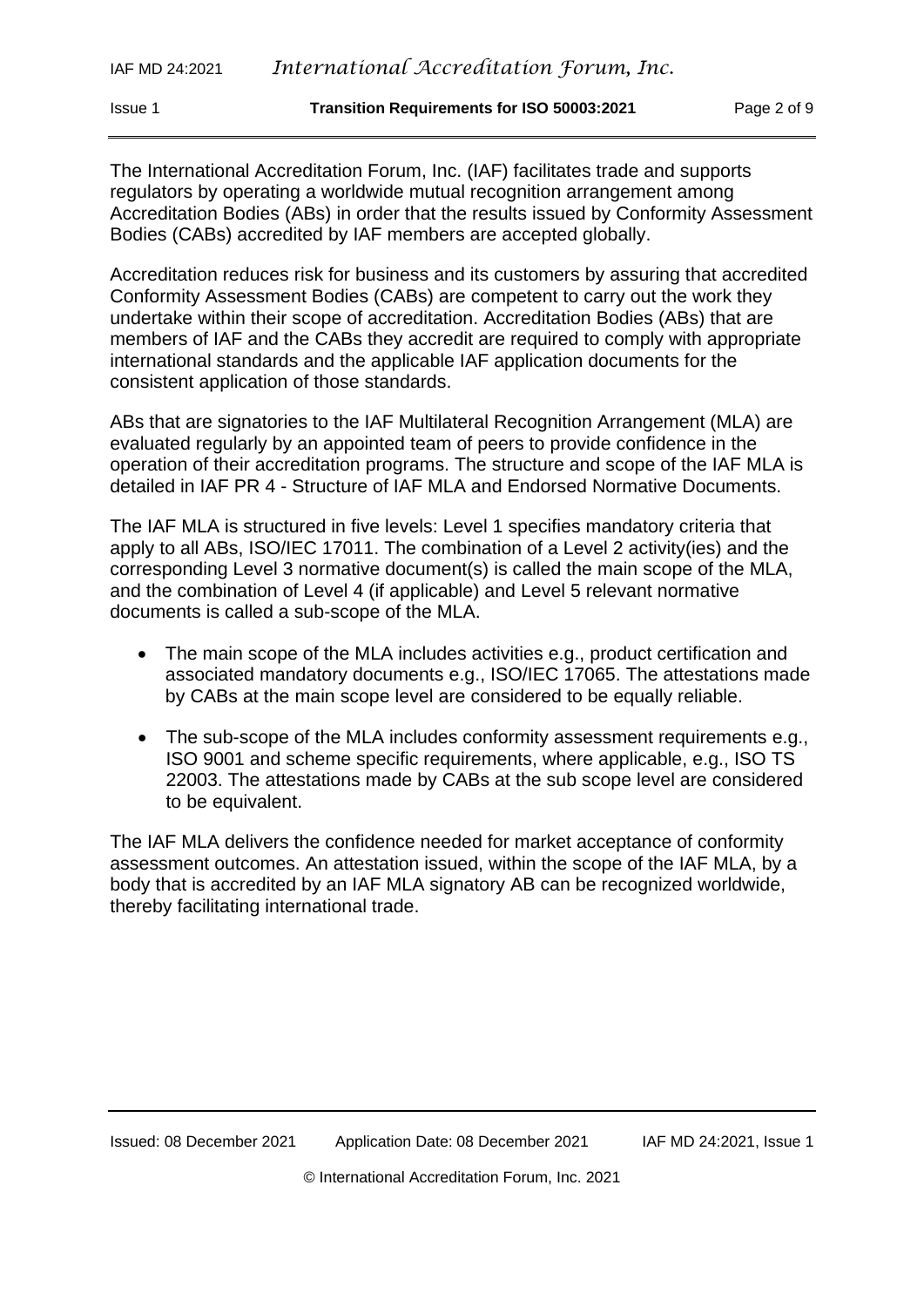The International Accreditation Forum, Inc. (IAF) facilitates trade and supports regulators by operating a worldwide mutual recognition arrangement among Accreditation Bodies (ABs) in order that the results issued by Conformity Assessment Bodies (CABs) accredited by IAF members are accepted globally.

Accreditation reduces risk for business and its customers by assuring that accredited Conformity Assessment Bodies (CABs) are competent to carry out the work they undertake within their scope of accreditation. Accreditation Bodies (ABs) that are members of IAF and the CABs they accredit are required to comply with appropriate international standards and the applicable IAF application documents for the consistent application of those standards.

ABs that are signatories to the IAF Multilateral Recognition Arrangement (MLA) are evaluated regularly by an appointed team of peers to provide confidence in the operation of their accreditation programs. The structure and scope of the IAF MLA is detailed in IAF PR 4 - Structure of IAF MLA and Endorsed Normative Documents.

The IAF MLA is structured in five levels: Level 1 specifies mandatory criteria that apply to all ABs, ISO/IEC 17011. The combination of a Level 2 activity(ies) and the corresponding Level 3 normative document(s) is called the main scope of the MLA, and the combination of Level 4 (if applicable) and Level 5 relevant normative documents is called a sub-scope of the MLA.

- The main scope of the MLA includes activities e.g., product certification and associated mandatory documents e.g., ISO/IEC 17065. The attestations made by CABs at the main scope level are considered to be equally reliable.
- The sub-scope of the MLA includes conformity assessment requirements e.g., ISO 9001 and scheme specific requirements, where applicable, e.g., ISO TS 22003. The attestations made by CABs at the sub scope level are considered to be equivalent.

The IAF MLA delivers the confidence needed for market acceptance of conformity assessment outcomes. An attestation issued, within the scope of the IAF MLA, by a body that is accredited by an IAF MLA signatory AB can be recognized worldwide, thereby facilitating international trade.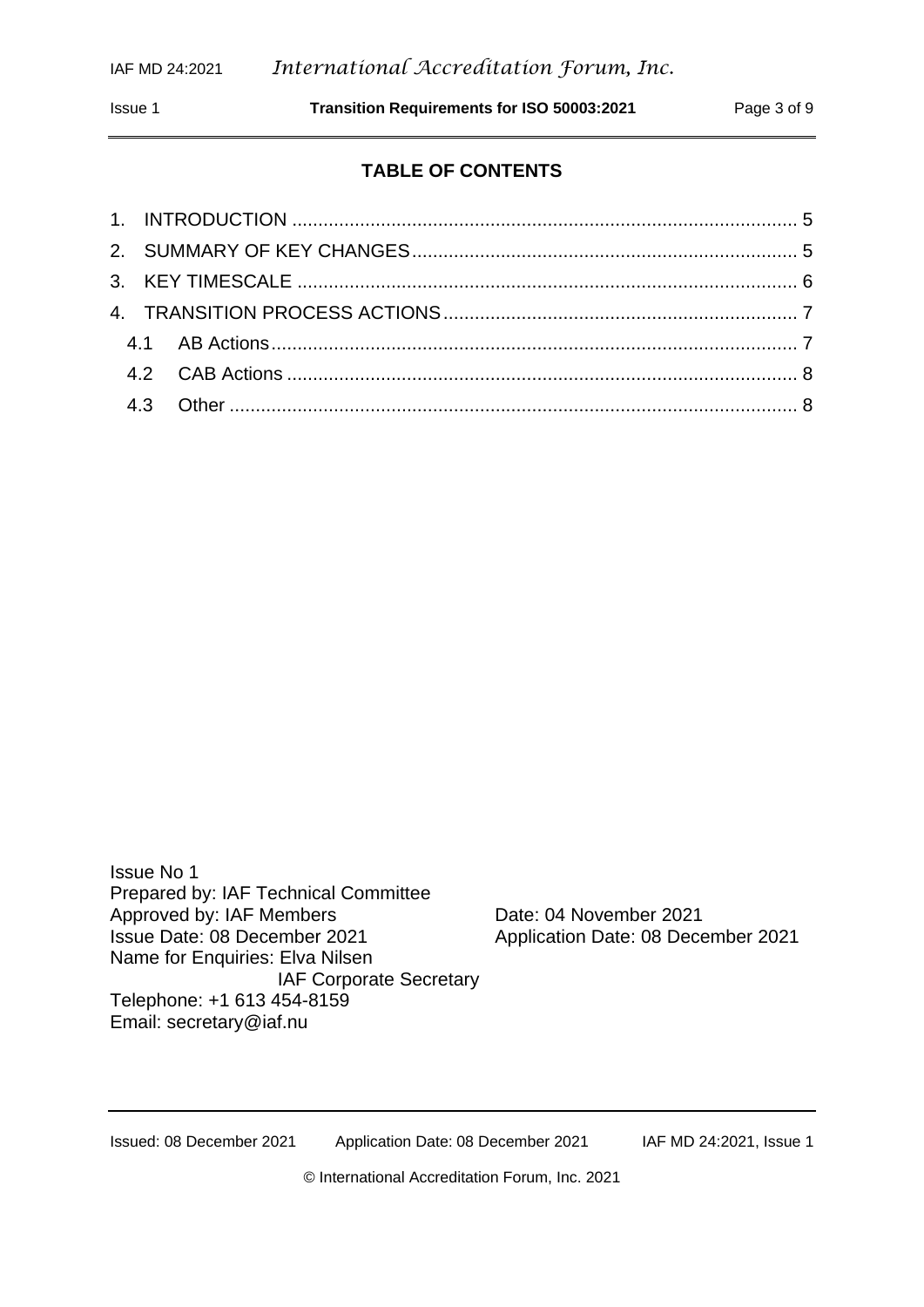Issue 1 **Transition Requirements for ISO 50003:2021** Page 3 of 9

#### **TABLE OF CONTENTS**

Issue No 1 Prepared by: IAF Technical Committee Approved by: IAF Members Date: 04 November 2021 Issue Date: 08 December 2021 Application Date: 08 December 2021 Name for Enquiries: Elva Nilsen IAF Corporate Secretary Telephone: +1 613 454-8159 Email: [secretary@iaf.nu](mailto:secretary@iaf.nu)

Issued: 08 December 2021 Application Date: 08 December 2021 IAF MD 24:2021, Issue 1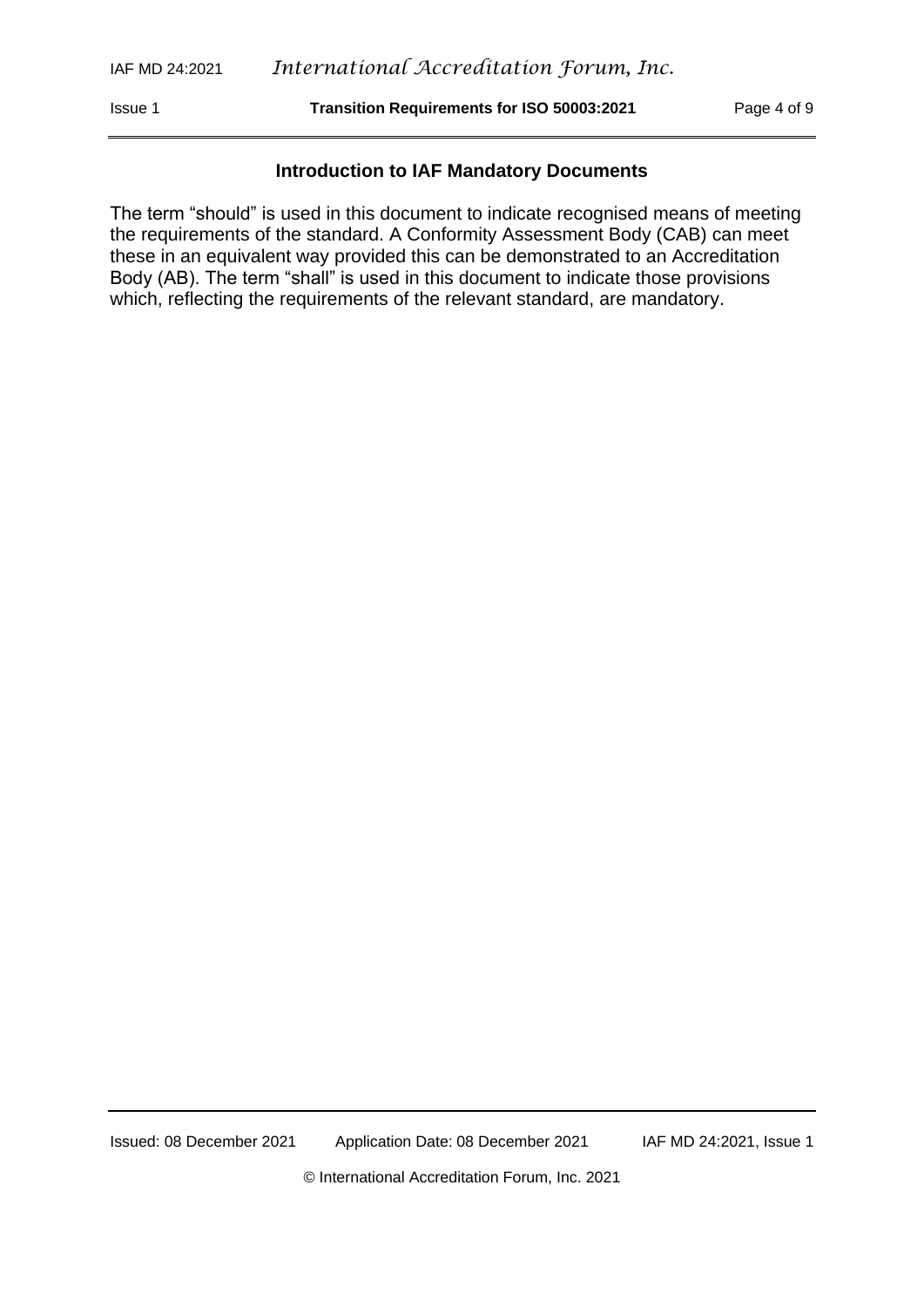Issue 1 **Transition Requirements for ISO 50003:2021** Page 4 of 9

#### **Introduction to IAF Mandatory Documents**

The term "should" is used in this document to indicate recognised means of meeting the requirements of the standard. A Conformity Assessment Body (CAB) can meet these in an equivalent way provided this can be demonstrated to an Accreditation Body (AB). The term "shall" is used in this document to indicate those provisions which, reflecting the requirements of the relevant standard, are mandatory.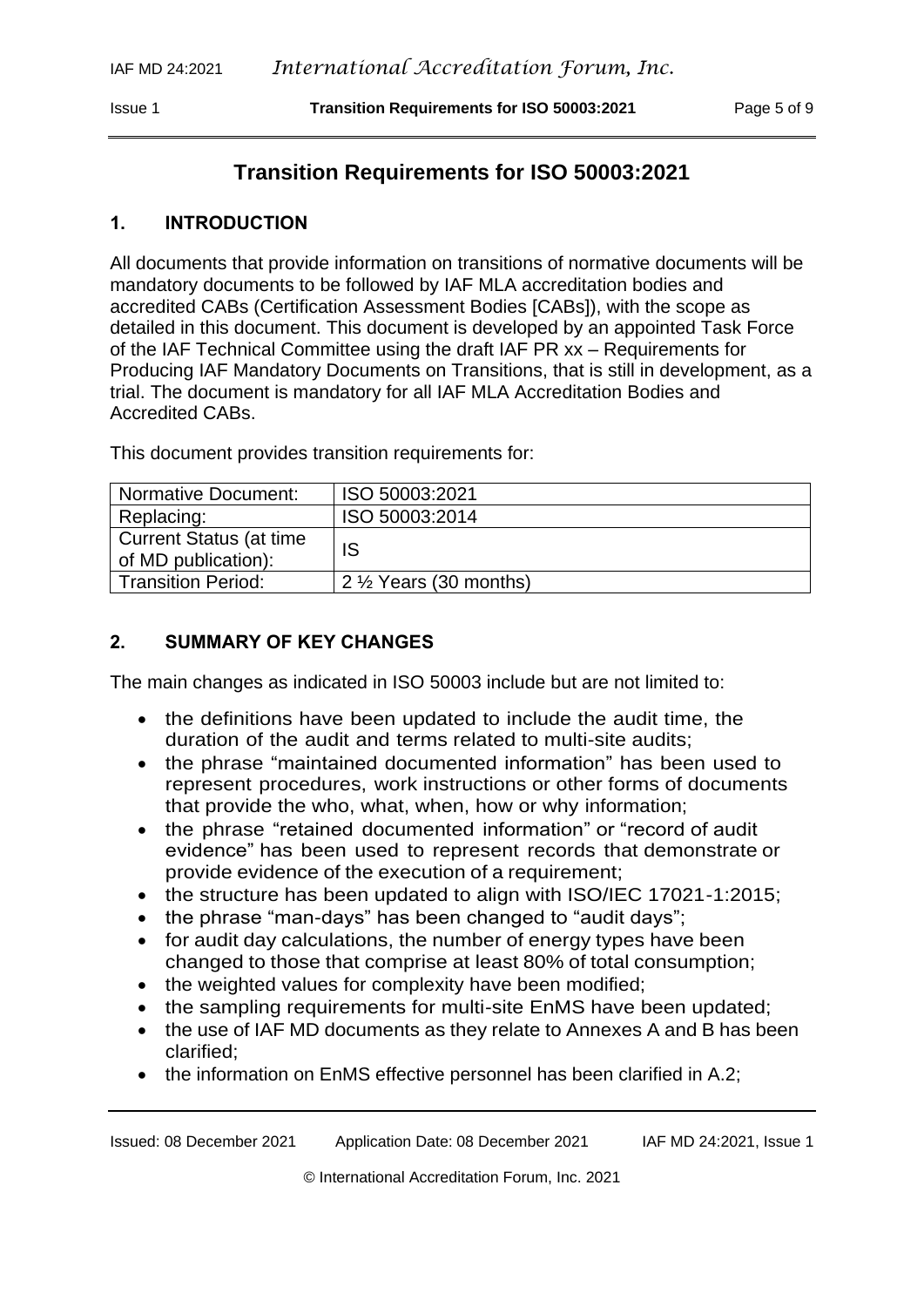### **Transition Requirements for ISO 50003:2021**

#### <span id="page-4-0"></span>**1. INTRODUCTION**

All documents that provide information on transitions of normative documents will be mandatory documents to be followed by IAF MLA accreditation bodies and accredited CABs (Certification Assessment Bodies [CABs]), with the scope as detailed in this document. This document is developed by an appointed Task Force of the IAF Technical Committee using the draft IAF PR xx – Requirements for Producing IAF Mandatory Documents on Transitions, that is still in development, as a trial. The document is mandatory for all IAF MLA Accreditation Bodies and Accredited CABs.

| Normative Document:                                    | ISO 50003:2021                    |
|--------------------------------------------------------|-----------------------------------|
| Replacing:                                             | ISO 50003:2014                    |
| <b>Current Status (at time)</b><br>of MD publication): | IS                                |
| <b>Transition Period:</b>                              | 2 $\frac{1}{2}$ Years (30 months) |

This document provides transition requirements for:

#### <span id="page-4-1"></span>**2. SUMMARY OF KEY CHANGES**

The main changes as indicated in ISO 50003 include but are not limited to:

- the definitions have been updated to include the audit time, the duration of the audit and terms related to multi-site audits;
- the phrase "maintained documented information" has been used to represent procedures, work instructions or other forms of documents that provide the who, what, when, how or why information;
- the phrase "retained documented information" or "record of audit evidence" has been used to represent records that demonstrate or provide evidence of the execution of a requirement;
- the structure has been updated to align with ISO/IEC 17021-1:2015;
- the phrase "man-days" has been changed to "audit days";
- for audit day calculations, the number of energy types have been changed to those that comprise at least 80% of total consumption;
- the weighted values for complexity have been modified;
- the sampling requirements for multi-site EnMS have been updated;
- the use of IAF MD documents as they relate to Annexes A and B has been clarified;
- the information on EnMS effective personnel has been clarified in A.2;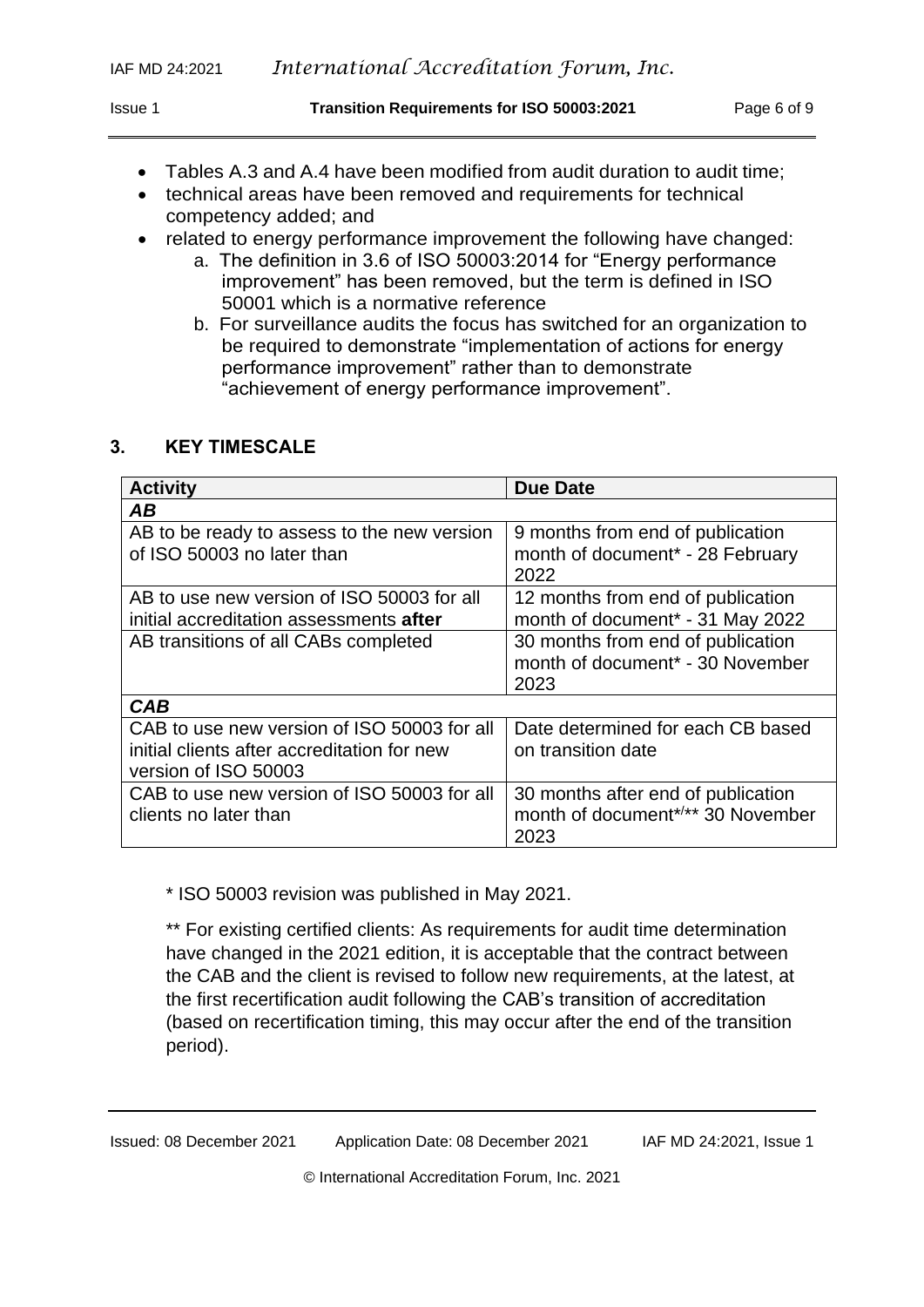- Tables A.3 and A.4 have been modified from audit duration to audit time;
- technical areas have been removed and requirements for technical competency added; and
- related to energy performance improvement the following have changed:
	- a. The definition in 3.6 of ISO 50003:2014 for "Energy performance improvement" has been removed, but the term is defined in ISO 50001 which is a normative reference
	- b. For surveillance audits the focus has switched for an organization to be required to demonstrate "implementation of actions for energy performance improvement" rather than to demonstrate "achievement of energy performance improvement".

#### <span id="page-5-0"></span>**3. KEY TIMESCALE**

| <b>Activity</b>                                                                                                    | <b>Due Date</b>                                                                           |
|--------------------------------------------------------------------------------------------------------------------|-------------------------------------------------------------------------------------------|
| AB                                                                                                                 |                                                                                           |
| AB to be ready to assess to the new version<br>of ISO 50003 no later than                                          | 9 months from end of publication<br>month of document <sup>*</sup> - 28 February<br>2022  |
| AB to use new version of ISO 50003 for all<br>initial accreditation assessments <b>after</b>                       | 12 months from end of publication<br>month of document* - 31 May 2022                     |
| AB transitions of all CABs completed                                                                               | 30 months from end of publication<br>month of document <sup>*</sup> - 30 November<br>2023 |
| <b>CAB</b>                                                                                                         |                                                                                           |
| CAB to use new version of ISO 50003 for all<br>initial clients after accreditation for new<br>version of ISO 50003 | Date determined for each CB based<br>on transition date                                   |
| CAB to use new version of ISO 50003 for all<br>clients no later than                                               | 30 months after end of publication<br>month of document*/** 30 November<br>2023           |

\* ISO 50003 revision was published in May 2021.

\*\* For existing certified clients: As requirements for audit time determination have changed in the 2021 edition, it is acceptable that the contract between the CAB and the client is revised to follow new requirements, at the latest, at the first recertification audit following the CAB's transition of accreditation (based on recertification timing, this may occur after the end of the transition period).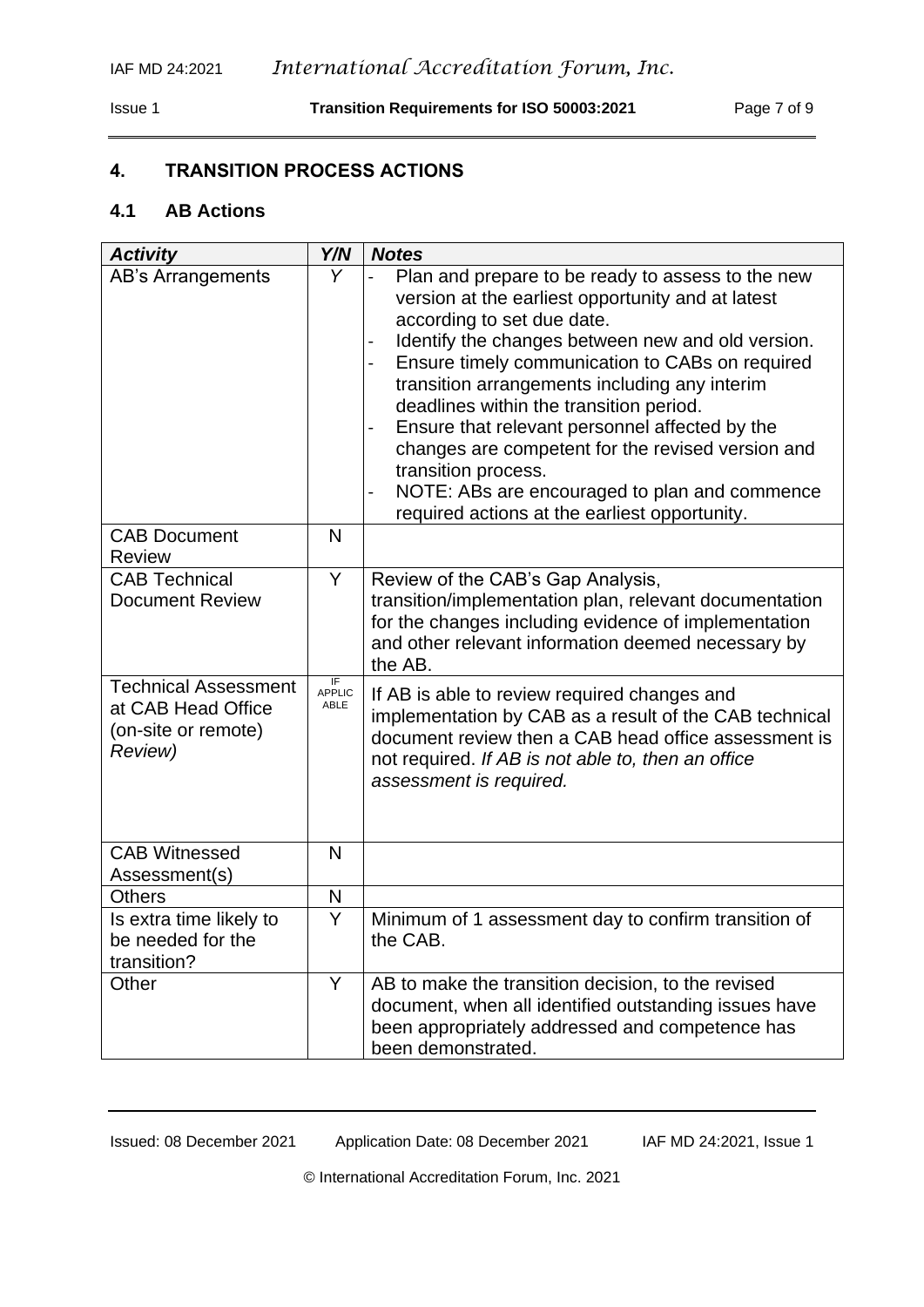#### <span id="page-6-0"></span>**4. TRANSITION PROCESS ACTIONS**

#### <span id="page-6-1"></span>**4.1 AB Actions**

| <b>Activity</b>                                                                     | Y/N                                     | <b>Notes</b>                                                                                                                                                                                                                                                                                                                                                                                                                                                                                                                                                                                         |
|-------------------------------------------------------------------------------------|-----------------------------------------|------------------------------------------------------------------------------------------------------------------------------------------------------------------------------------------------------------------------------------------------------------------------------------------------------------------------------------------------------------------------------------------------------------------------------------------------------------------------------------------------------------------------------------------------------------------------------------------------------|
| AB's Arrangements                                                                   | Y                                       | Plan and prepare to be ready to assess to the new<br>version at the earliest opportunity and at latest<br>according to set due date.<br>Identify the changes between new and old version.<br>$\overline{\phantom{0}}$<br>Ensure timely communication to CABs on required<br>transition arrangements including any interim<br>deadlines within the transition period.<br>Ensure that relevant personnel affected by the<br>changes are competent for the revised version and<br>transition process.<br>NOTE: ABs are encouraged to plan and commence<br>required actions at the earliest opportunity. |
| <b>CAB Document</b><br><b>Review</b>                                                | N                                       |                                                                                                                                                                                                                                                                                                                                                                                                                                                                                                                                                                                                      |
| <b>CAB Technical</b><br><b>Document Review</b>                                      | Y                                       | Review of the CAB's Gap Analysis,<br>transition/implementation plan, relevant documentation<br>for the changes including evidence of implementation<br>and other relevant information deemed necessary by<br>the AB.                                                                                                                                                                                                                                                                                                                                                                                 |
| <b>Technical Assessment</b><br>at CAB Head Office<br>(on-site or remote)<br>Review) | $\overline{F}$<br><b>APPLIC</b><br>ABLE | If AB is able to review required changes and<br>implementation by CAB as a result of the CAB technical<br>document review then a CAB head office assessment is<br>not required. If AB is not able to, then an office<br>assessment is required.                                                                                                                                                                                                                                                                                                                                                      |
| <b>CAB Witnessed</b><br>Assessment(s)                                               | N                                       |                                                                                                                                                                                                                                                                                                                                                                                                                                                                                                                                                                                                      |
| <b>Others</b>                                                                       | N                                       |                                                                                                                                                                                                                                                                                                                                                                                                                                                                                                                                                                                                      |
| Is extra time likely to<br>be needed for the<br>transition?                         | Y                                       | Minimum of 1 assessment day to confirm transition of<br>the CAB.                                                                                                                                                                                                                                                                                                                                                                                                                                                                                                                                     |
| Other                                                                               | Y                                       | AB to make the transition decision, to the revised<br>document, when all identified outstanding issues have<br>been appropriately addressed and competence has<br>been demonstrated.                                                                                                                                                                                                                                                                                                                                                                                                                 |

Issued: 08 December 2021 Application Date: 08 December 2021 IAF MD 24:2021, Issue 1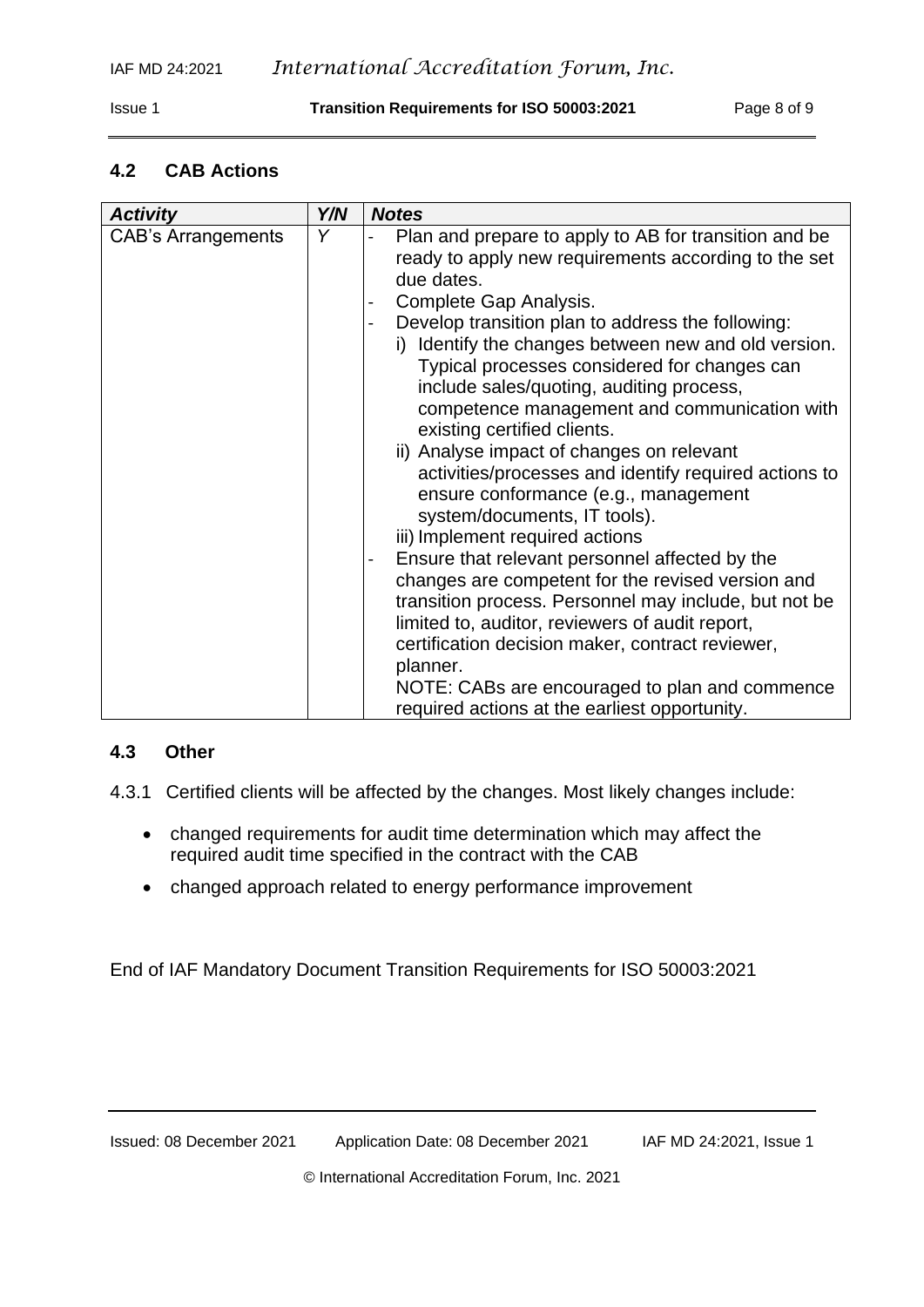#### <span id="page-7-0"></span>**4.2 CAB Actions**

| <b>Activity</b>           | Y/N | <b>Notes</b>                                                                                                                                                                                                                                                                                                                                                                                                                                                                                                                                                                                                                                                                                                                                                                                                                                                                                                                                                                                                                                              |
|---------------------------|-----|-----------------------------------------------------------------------------------------------------------------------------------------------------------------------------------------------------------------------------------------------------------------------------------------------------------------------------------------------------------------------------------------------------------------------------------------------------------------------------------------------------------------------------------------------------------------------------------------------------------------------------------------------------------------------------------------------------------------------------------------------------------------------------------------------------------------------------------------------------------------------------------------------------------------------------------------------------------------------------------------------------------------------------------------------------------|
| <b>CAB's Arrangements</b> | Y   | Plan and prepare to apply to AB for transition and be<br>ready to apply new requirements according to the set<br>due dates.<br>Complete Gap Analysis.<br>-<br>Develop transition plan to address the following:<br>i) Identify the changes between new and old version.<br>Typical processes considered for changes can<br>include sales/quoting, auditing process,<br>competence management and communication with<br>existing certified clients.<br>ii) Analyse impact of changes on relevant<br>activities/processes and identify required actions to<br>ensure conformance (e.g., management<br>system/documents, IT tools).<br>iii) Implement required actions<br>Ensure that relevant personnel affected by the<br>changes are competent for the revised version and<br>transition process. Personnel may include, but not be<br>limited to, auditor, reviewers of audit report,<br>certification decision maker, contract reviewer,<br>planner.<br>NOTE: CABs are encouraged to plan and commence<br>required actions at the earliest opportunity. |

#### <span id="page-7-1"></span>**4.3 Other**

- 4.3.1 Certified clients will be affected by the changes. Most likely changes include:
	- changed requirements for audit time determination which may affect the required audit time specified in the contract with the CAB
	- changed approach related to energy performance improvement

End of IAF Mandatory Document Transition Requirements for ISO 50003:2021